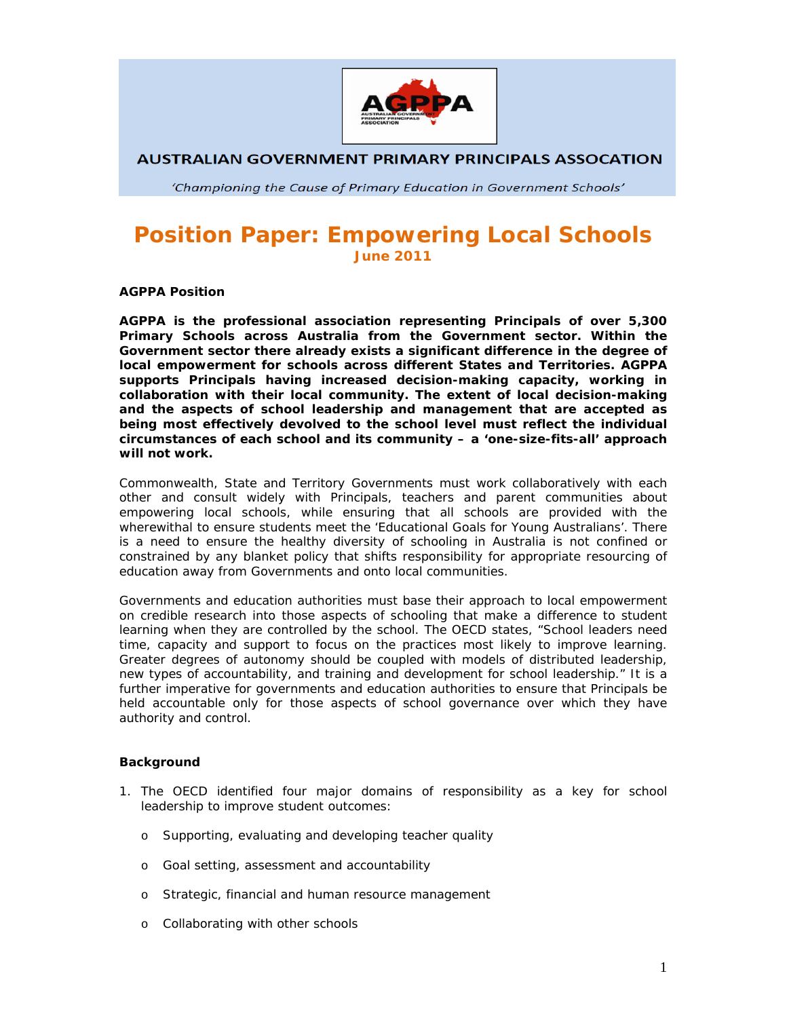

**AUSTRALIAN GOVERNMENT PRIMARY PRINCIPALS ASSOCATION** 

'Championing the Cause of Primary Education in Government Schools'

## **Position Paper: Empowering Local Schools June 2011**

**AGPPA Position** 

**AGPPA is the professional association representing Principals of over 5,300 Primary Schools across Australia from the Government sector. Within the Government sector there already exists a significant difference in the degree of local empowerment for schools across different States and Territories. AGPPA supports Principals having increased decision-making capacity, working in collaboration with their local community. The extent of local decision-making and the aspects of school leadership and management that are accepted as being most effectively devolved to the school level must reflect the individual circumstances of each school and its community – a 'one-size-fits-all' approach will not work.** 

Commonwealth, State and Territory Governments must work collaboratively with each other and consult widely with Principals, teachers and parent communities about empowering local schools, while ensuring that all schools are provided with the wherewithal to ensure students meet the *'Educational Goals for Young Australians'*. There is a need to ensure the healthy diversity of schooling in Australia is not confined or constrained by any blanket policy that shifts responsibility for appropriate resourcing of education away from Governments and onto local communities.

Governments and education authorities must base their approach to local empowerment on credible research into those aspects of schooling that make a difference to student learning when they are controlled by the school. The OECD states, *"School leaders need time, capacity and support to focus on the practices most likely to improve learning. Greater degrees of autonomy should be coupled with models of distributed leadership, new types of accountability, and training and development for school leadership."* It is a further imperative for governments and education authorities to ensure that Principals be held accountable only for those aspects of school governance over which they have authority and control.

## **Background**

- 1. The OECD identified four major domains of responsibility as a key for school leadership to improve student outcomes:
	- o Supporting, evaluating and developing teacher quality
	- o Goal setting, assessment and accountability
	- o Strategic, financial and human resource management
	- o Collaborating with other schools